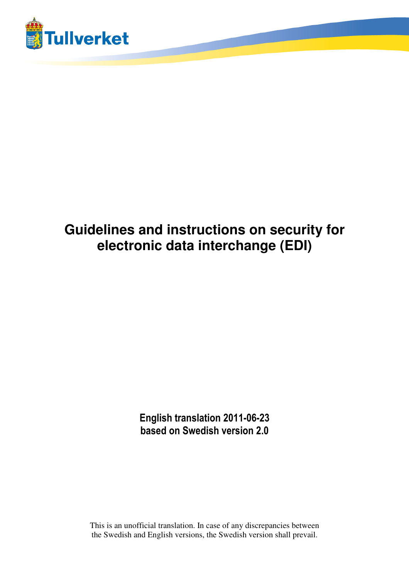

# **Guidelines and instructions on security for electronic data interchange (EDI)**

**English translation 2011-06-23 based on Swedish version 2.0** 

This is an unofficial translation. In case of any discrepancies between the Swedish and English versions, the Swedish version shall prevail.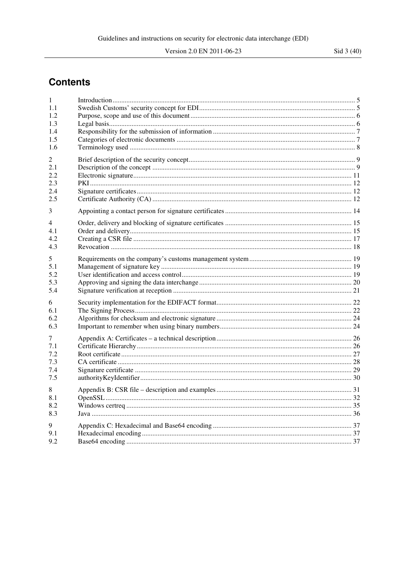## **Contents**

| 1           |  |
|-------------|--|
| 1.1<br>1.2. |  |
| 1.3         |  |
| 1.4         |  |
| 1.5         |  |
| 1.6         |  |
| 2           |  |
| 2.1         |  |
| 2.2         |  |
| 2.3         |  |
| 2.4<br>2.5  |  |
|             |  |
| 3           |  |
| 4           |  |
| 4.1         |  |
| 4.2         |  |
| 4.3         |  |
| 5           |  |
| 5.1         |  |
| 5.2         |  |
| 5.3<br>5.4  |  |
|             |  |
| 6           |  |
| 6.1<br>6.2  |  |
| 6.3         |  |
|             |  |
| 7           |  |
| 7.1<br>7.2  |  |
| 7.3         |  |
| 7.4         |  |
| 7.5         |  |
| 8           |  |
| 8.1         |  |
| 8.2         |  |
| 8.3         |  |
| 9           |  |
| 9.1         |  |
| 9.2         |  |
|             |  |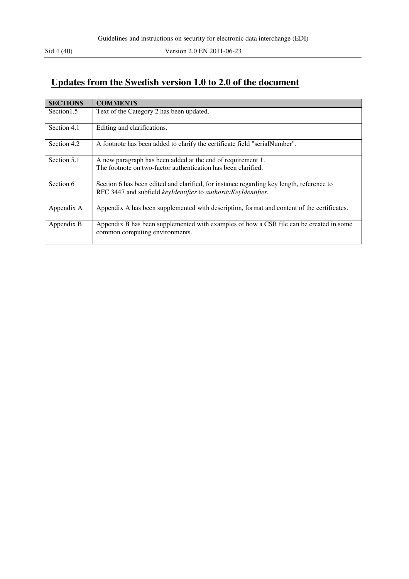## **Updates from the Swedish version 1.0 to 2.0 of the document**

| <b>SECTIONS</b> | <b>COMMENTS</b>                                                                                                           |
|-----------------|---------------------------------------------------------------------------------------------------------------------------|
| Section 1.5     | Text of the Category 2 has been updated.                                                                                  |
| Section 4.1     | Editing and clarifications.                                                                                               |
| Section 4.2     | A footnote has been added to clarify the certificate field "serialNumber".                                                |
| Section 5.1     | A new paragraph has been added at the end of requirement 1.                                                               |
|                 | The footnote on two-factor authentication has been clarified.                                                             |
| Section 6       | Section 6 has been edited and clarified, for instance regarding key length, reference to                                  |
|                 | RFC 3447 and subfield keyIdentifier to authorityKeyIdentifier.                                                            |
| Appendix A      | Appendix A has been supplemented with description, format and content of the certificates.                                |
| Appendix B      | Appendix B has been supplemented with examples of how a CSR file can be created in some<br>common computing environments. |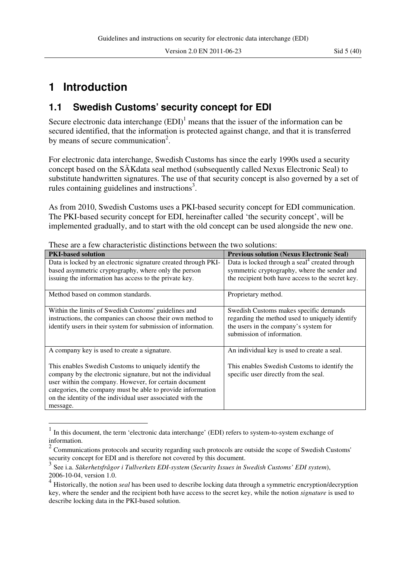## **1 Introduction**

 $\overline{a}$ 

### **1.1 Swedish Customs' security concept for EDI**

Secure electronic data interchange  $(EDI)^1$  means that the issuer of the information can be secured identified, that the information is protected against change, and that it is transferred by means of secure communication<sup>2</sup>.

For electronic data interchange, Swedish Customs has since the early 1990s used a security concept based on the SÄKdata seal method (subsequently called Nexus Electronic Seal) to substitute handwritten signatures. The use of that security concept is also governed by a set of rules containing guidelines and instructions<sup>3</sup>.

As from 2010, Swedish Customs uses a PKI-based security concept for EDI communication. The PKI-based security concept for EDI, hereinafter called 'the security concept', will be implemented gradually, and to start with the old concept can be used alongside the new one.

| <b>PKI-based solution</b>                                      | <b>Previous solution (Nexus Electronic Seal)</b>                    |
|----------------------------------------------------------------|---------------------------------------------------------------------|
| Data is locked by an electronic signature created through PKI- | Data is locked through a seal <sup>4</sup> created through          |
| based asymmetric cryptography, where only the person           | symmetric cryptography, where the sender and                        |
| issuing the information has access to the private key.         | the recipient both have access to the secret key.                   |
| Method based on common standards.                              | Proprietary method.                                                 |
| Within the limits of Swedish Customs' guidelines and           | Swedish Customs makes specific demands                              |
| instructions, the companies can choose their own method to     | regarding the method used to uniquely identify                      |
| identify users in their system for submission of information.  | the users in the company's system for<br>submission of information. |
| A company key is used to create a signature.                   | An individual key is used to create a seal.                         |
| This enables Swedish Customs to uniquely identify the          | This enables Swedish Customs to identify the                        |
| company by the electronic signature, but not the individual    | specific user directly from the seal.                               |
| user within the company. However, for certain document         |                                                                     |
| categories, the company must be able to provide information    |                                                                     |
| on the identity of the individual user associated with the     |                                                                     |
| message.                                                       |                                                                     |

These are a few characteristic distinctions between the two solutions:

<sup>1</sup> In this document, the term 'electronic data interchange' (EDI) refers to system-to-system exchange of information.

 $2^2$  Communications protocols and security regarding such protocols are outside the scope of Swedish Customs' security concept for EDI and is therefore not covered by this document.

<sup>3</sup> See i.a. *Säkerhetsfrågor i Tullverkets EDI-system* (*Security Issues in Swedish Customs' EDI system*), 2006-10-04, version 1.0.

<sup>4</sup> Historically, the notion *seal* has been used to describe locking data through a symmetric encryption/decryption key, where the sender and the recipient both have access to the secret key, while the notion *signature* is used to describe locking data in the PKI-based solution.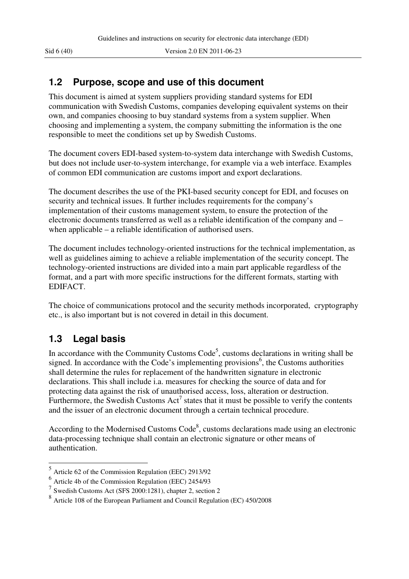### **1.2 Purpose, scope and use of this document**

This document is aimed at system suppliers providing standard systems for EDI communication with Swedish Customs, companies developing equivalent systems on their own, and companies choosing to buy standard systems from a system supplier. When choosing and implementing a system, the company submitting the information is the one responsible to meet the conditions set up by Swedish Customs.

The document covers EDI-based system-to-system data interchange with Swedish Customs, but does not include user-to-system interchange, for example via a web interface. Examples of common EDI communication are customs import and export declarations.

The document describes the use of the PKI-based security concept for EDI, and focuses on security and technical issues. It further includes requirements for the company's implementation of their customs management system, to ensure the protection of the electronic documents transferred as well as a reliable identification of the company and – when applicable – a reliable identification of authorised users.

The document includes technology-oriented instructions for the technical implementation, as well as guidelines aiming to achieve a reliable implementation of the security concept. The technology-oriented instructions are divided into a main part applicable regardless of the format, and a part with more specific instructions for the different formats, starting with EDIFACT.

The choice of communications protocol and the security methods incorporated, cryptography etc., is also important but is not covered in detail in this document.

## **1.3 Legal basis**

In accordance with the Community Customs  $Code<sup>5</sup>$ , customs declarations in writing shall be signed. In accordance with the Code's implementing provisions<sup>6</sup>, the Customs authorities shall determine the rules for replacement of the handwritten signature in electronic declarations. This shall include i.a. measures for checking the source of data and for protecting data against the risk of unauthorised access, loss, alteration or destruction. Furthermore, the Swedish Customs  $Act^7$  states that it must be possible to verify the contents and the issuer of an electronic document through a certain technical procedure.

According to the Modernised Customs  $Code<sup>8</sup>$ , customs declarations made using an electronic data-processing technique shall contain an electronic signature or other means of authentication.

 5 Article 62 of the Commission Regulation (EEC) 2913/92

 $<sup>6</sup>$  Article 4b of the Commission Regulation (EEC) 2454/93</sup>

<sup>7</sup> Swedish Customs Act (SFS 2000:1281), chapter 2, section 2

<sup>8</sup> Article 108 of the European Parliament and Council Regulation (EC) 450/2008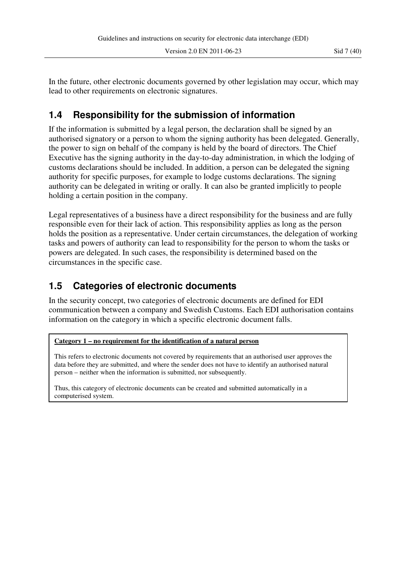In the future, other electronic documents governed by other legislation may occur, which may lead to other requirements on electronic signatures.

## **1.4 Responsibility for the submission of information**

If the information is submitted by a legal person, the declaration shall be signed by an authorised signatory or a person to whom the signing authority has been delegated. Generally, the power to sign on behalf of the company is held by the board of directors. The Chief Executive has the signing authority in the day-to-day administration, in which the lodging of customs declarations should be included. In addition, a person can be delegated the signing authority for specific purposes, for example to lodge customs declarations. The signing authority can be delegated in writing or orally. It can also be granted implicitly to people holding a certain position in the company.

Legal representatives of a business have a direct responsibility for the business and are fully responsible even for their lack of action. This responsibility applies as long as the person holds the position as a representative. Under certain circumstances, the delegation of working tasks and powers of authority can lead to responsibility for the person to whom the tasks or powers are delegated. In such cases, the responsibility is determined based on the circumstances in the specific case.

## **1.5 Categories of electronic documents**

In the security concept, two categories of electronic documents are defined for EDI communication between a company and Swedish Customs. Each EDI authorisation contains information on the category in which a specific electronic document falls.

#### **Category 1 – no requirement for the identification of a natural person**

This refers to electronic documents not covered by requirements that an authorised user approves the data before they are submitted, and where the sender does not have to identify an authorised natural person – neither when the information is submitted, nor subsequently.

Thus, this category of electronic documents can be created and submitted automatically in a computerised system.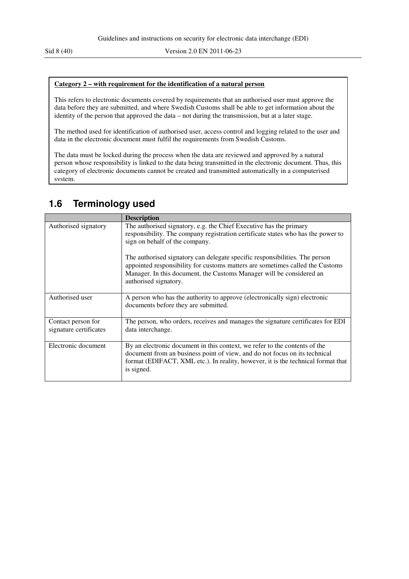#### **Category 2 – with requirement for the identification of a natural person**

This refers to electronic documents covered by requirements that an authorised user must approve the data before they are submitted, and where Swedish Customs shall be able to get information about the identity of the person that approved the data – not during the transmission, but at a later stage.

The method used for identification of authorised user, access control and logging related to the user and data in the electronic document must fulfil the requirements from Swedish Customs.

The data must be locked during the process when the data are reviewed and approved by a natural person whose responsibility is linked to the data being transmitted in the electronic document. Thus, this category of electronic documents cannot be created and transmitted automatically in a computerised system.

## **1.6 Terminology used**

|                                              | <b>Description</b>                                                                                                                                                                                                                                            |
|----------------------------------------------|---------------------------------------------------------------------------------------------------------------------------------------------------------------------------------------------------------------------------------------------------------------|
| Authorised signatory                         | The authorised signatory, e.g. the Chief Executive has the primary<br>responsibility. The company registration certificate states who has the power to<br>sign on behalf of the company.                                                                      |
|                                              | The authorised signatory can delegate specific responsibilities. The person<br>appointed responsibility for customs matters are sometimes called the Customs<br>Manager. In this document, the Customs Manager will be considered an<br>authorised signatory. |
| Authorised user                              | A person who has the authority to approve (electronically sign) electronic<br>documents before they are submitted.                                                                                                                                            |
| Contact person for<br>signature certificates | The person, who orders, receives and manages the signature certificates for EDI<br>data interchange.                                                                                                                                                          |
| Electronic document                          | By an electronic document in this context, we refer to the contents of the<br>document from an business point of view, and do not focus on its technical<br>format (EDIFACT, XML etc.). In reality, however, it is the technical format that<br>is signed.    |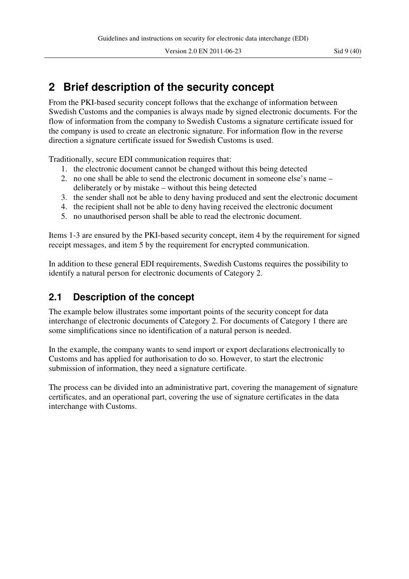From the PKI-based security concept follows that the exchange of information between Swedish Customs and the companies is always made by signed electronic documents. For the flow of information from the company to Swedish Customs a signature certificate issued for the company is used to create an electronic signature. For information flow in the reverse direction a signature certificate issued for Swedish Customs is used.

Traditionally, secure EDI communication requires that:

- 1. the electronic document cannot be changed without this being detected
- 2. no one shall be able to send the electronic document in someone else's name deliberately or by mistake – without this being detected
- 3. the sender shall not be able to deny having produced and sent the electronic document
- 4. the recipient shall not be able to deny having received the electronic document
- 5. no unauthorised person shall be able to read the electronic document.

Items 1-3 are ensured by the PKI-based security concept, item 4 by the requirement for signed receipt messages, and item 5 by the requirement for encrypted communication.

In addition to these general EDI requirements, Swedish Customs requires the possibility to identify a natural person for electronic documents of Category 2.

## **2.1 Description of the concept**

The example below illustrates some important points of the security concept for data interchange of electronic documents of Category 2. For documents of Category 1 there are some simplifications since no identification of a natural person is needed.

In the example, the company wants to send import or export declarations electronically to Customs and has applied for authorisation to do so. However, to start the electronic submission of information, they need a signature certificate.

The process can be divided into an administrative part, covering the management of signature certificates, and an operational part, covering the use of signature certificates in the data interchange with Customs.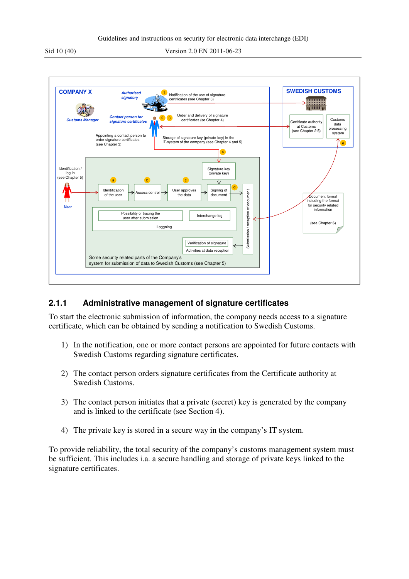

#### **2.1.1 Administrative management of signature certificates**

To start the electronic submission of information, the company needs access to a signature certificate, which can be obtained by sending a notification to Swedish Customs.

- 1) In the notification, one or more contact persons are appointed for future contacts with Swedish Customs regarding signature certificates.
- 2) The contact person orders signature certificates from the Certificate authority at Swedish Customs.
- 3) The contact person initiates that a private (secret) key is generated by the company and is linked to the certificate (see Section 4).
- 4) The private key is stored in a secure way in the company's IT system.

To provide reliability, the total security of the company's customs management system must be sufficient. This includes i.a. a secure handling and storage of private keys linked to the signature certificates.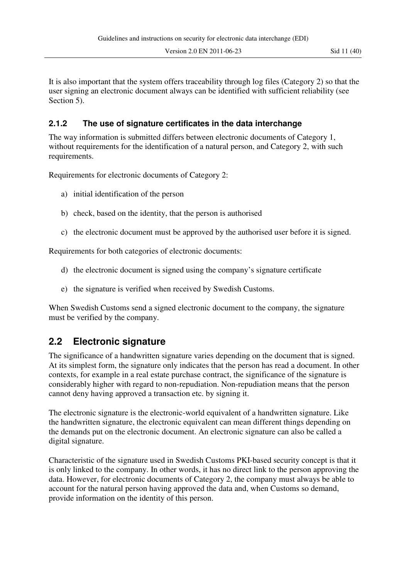Version 2.0 EN 2011-06-23 Sid 11 (40)

It is also important that the system offers traceability through log files (Category 2) so that the user signing an electronic document always can be identified with sufficient reliability (see Section 5).

#### **2.1.2 The use of signature certificates in the data interchange**

The way information is submitted differs between electronic documents of Category 1, without requirements for the identification of a natural person, and Category 2, with such requirements.

Requirements for electronic documents of Category 2:

- a) initial identification of the person
- b) check, based on the identity, that the person is authorised
- c) the electronic document must be approved by the authorised user before it is signed.

Requirements for both categories of electronic documents:

- d) the electronic document is signed using the company's signature certificate
- e) the signature is verified when received by Swedish Customs.

When Swedish Customs send a signed electronic document to the company, the signature must be verified by the company.

## **2.2 Electronic signature**

The significance of a handwritten signature varies depending on the document that is signed. At its simplest form, the signature only indicates that the person has read a document. In other contexts, for example in a real estate purchase contract, the significance of the signature is considerably higher with regard to non-repudiation. Non-repudiation means that the person cannot deny having approved a transaction etc. by signing it.

The electronic signature is the electronic-world equivalent of a handwritten signature. Like the handwritten signature, the electronic equivalent can mean different things depending on the demands put on the electronic document. An electronic signature can also be called a digital signature.

Characteristic of the signature used in Swedish Customs PKI-based security concept is that it is only linked to the company. In other words, it has no direct link to the person approving the data. However, for electronic documents of Category 2, the company must always be able to account for the natural person having approved the data and, when Customs so demand, provide information on the identity of this person.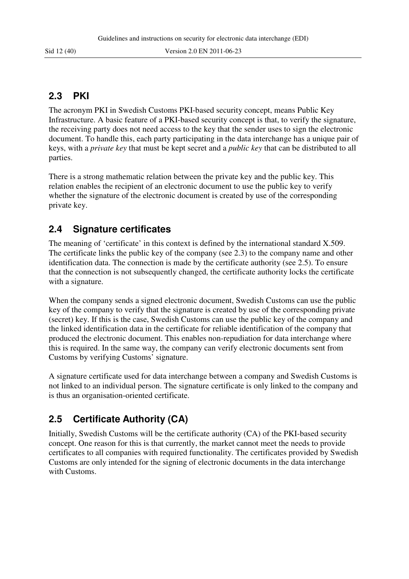### **2.3 PKI**

The acronym PKI in Swedish Customs PKI-based security concept, means Public Key Infrastructure. A basic feature of a PKI-based security concept is that, to verify the signature, the receiving party does not need access to the key that the sender uses to sign the electronic document. To handle this, each party participating in the data interchange has a unique pair of keys, with a *private key* that must be kept secret and a *public key* that can be distributed to all parties.

There is a strong mathematic relation between the private key and the public key. This relation enables the recipient of an electronic document to use the public key to verify whether the signature of the electronic document is created by use of the corresponding private key.

## **2.4 Signature certificates**

The meaning of 'certificate' in this context is defined by the international standard X.509. The certificate links the public key of the company (see 2.3) to the company name and other identification data. The connection is made by the certificate authority (see 2.5). To ensure that the connection is not subsequently changed, the certificate authority locks the certificate with a signature.

When the company sends a signed electronic document, Swedish Customs can use the public key of the company to verify that the signature is created by use of the corresponding private (secret) key. If this is the case, Swedish Customs can use the public key of the company and the linked identification data in the certificate for reliable identification of the company that produced the electronic document. This enables non-repudiation for data interchange where this is required. In the same way, the company can verify electronic documents sent from Customs by verifying Customs' signature.

A signature certificate used for data interchange between a company and Swedish Customs is not linked to an individual person. The signature certificate is only linked to the company and is thus an organisation-oriented certificate.

## **2.5 Certificate Authority (CA)**

Initially, Swedish Customs will be the certificate authority (CA) of the PKI-based security concept. One reason for this is that currently, the market cannot meet the needs to provide certificates to all companies with required functionality. The certificates provided by Swedish Customs are only intended for the signing of electronic documents in the data interchange with Customs.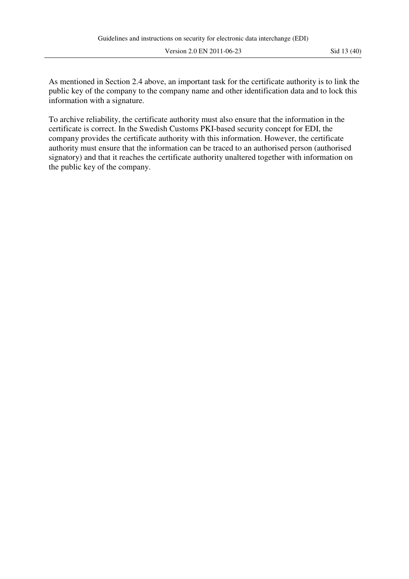Version 2.0 EN 2011-06-23 Sid 13 (40)

As mentioned in Section 2.4 above, an important task for the certificate authority is to link the public key of the company to the company name and other identification data and to lock this information with a signature.

To archive reliability, the certificate authority must also ensure that the information in the certificate is correct. In the Swedish Customs PKI-based security concept for EDI, the company provides the certificate authority with this information. However, the certificate authority must ensure that the information can be traced to an authorised person (authorised signatory) and that it reaches the certificate authority unaltered together with information on the public key of the company.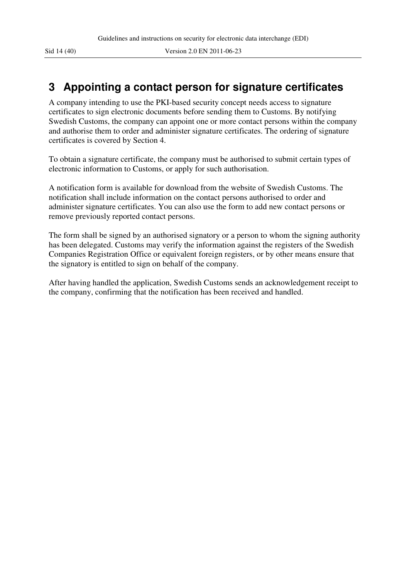## **3 Appointing a contact person for signature certificates**

A company intending to use the PKI-based security concept needs access to signature certificates to sign electronic documents before sending them to Customs. By notifying Swedish Customs, the company can appoint one or more contact persons within the company and authorise them to order and administer signature certificates. The ordering of signature certificates is covered by Section 4.

To obtain a signature certificate, the company must be authorised to submit certain types of electronic information to Customs, or apply for such authorisation.

A notification form is available for download from the website of Swedish Customs. The notification shall include information on the contact persons authorised to order and administer signature certificates. You can also use the form to add new contact persons or remove previously reported contact persons.

The form shall be signed by an authorised signatory or a person to whom the signing authority has been delegated. Customs may verify the information against the registers of the Swedish Companies Registration Office or equivalent foreign registers, or by other means ensure that the signatory is entitled to sign on behalf of the company.

After having handled the application, Swedish Customs sends an acknowledgement receipt to the company, confirming that the notification has been received and handled.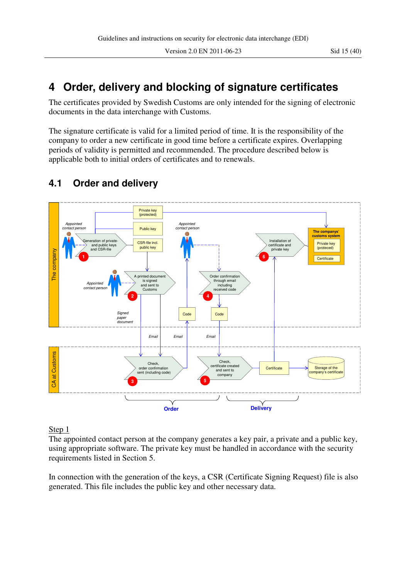## **4 Order, delivery and blocking of signature certificates**

The certificates provided by Swedish Customs are only intended for the signing of electronic documents in the data interchange with Customs.

The signature certificate is valid for a limited period of time. It is the responsibility of the company to order a new certificate in good time before a certificate expires. Overlapping periods of validity is permitted and recommended. The procedure described below is applicable both to initial orders of certificates and to renewals.



## **4.1 Order and delivery**

#### Step 1

The appointed contact person at the company generates a key pair, a private and a public key, using appropriate software. The private key must be handled in accordance with the security requirements listed in Section 5.

In connection with the generation of the keys, a CSR (Certificate Signing Request) file is also generated. This file includes the public key and other necessary data.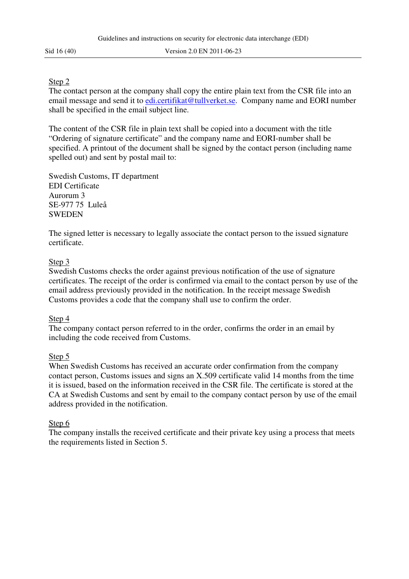#### Step 2

The contact person at the company shall copy the entire plain text from the CSR file into an email message and send it to edi.certifikat@tullverket.se. Company name and EORI number shall be specified in the email subject line.

The content of the CSR file in plain text shall be copied into a document with the title "Ordering of signature certificate" and the company name and EORI-number shall be specified. A printout of the document shall be signed by the contact person (including name spelled out) and sent by postal mail to:

Swedish Customs, IT department EDI Certificate Aurorum 3 SE-977 75 Luleå **SWEDEN** 

The signed letter is necessary to legally associate the contact person to the issued signature certificate.

#### Step 3

Swedish Customs checks the order against previous notification of the use of signature certificates. The receipt of the order is confirmed via email to the contact person by use of the email address previously provided in the notification. In the receipt message Swedish Customs provides a code that the company shall use to confirm the order.

#### Step 4

The company contact person referred to in the order, confirms the order in an email by including the code received from Customs.

#### Step 5

When Swedish Customs has received an accurate order confirmation from the company contact person, Customs issues and signs an X.509 certificate valid 14 months from the time it is issued, based on the information received in the CSR file. The certificate is stored at the CA at Swedish Customs and sent by email to the company contact person by use of the email address provided in the notification.

#### Step 6

The company installs the received certificate and their private key using a process that meets the requirements listed in Section 5.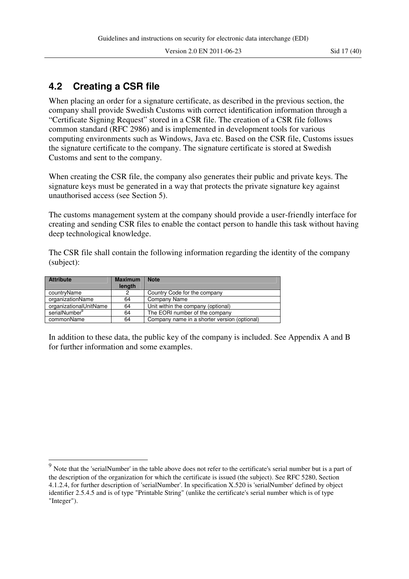Version 2.0 EN 2011-06-23 Sid 17 (40)

### **4.2 Creating a CSR file**

 $\overline{a}$ 

When placing an order for a signature certificate, as described in the previous section, the company shall provide Swedish Customs with correct identification information through a "Certificate Signing Request" stored in a CSR file. The creation of a CSR file follows common standard (RFC 2986) and is implemented in development tools for various computing environments such as Windows, Java etc. Based on the CSR file, Customs issues the signature certificate to the company. The signature certificate is stored at Swedish Customs and sent to the company.

When creating the CSR file, the company also generates their public and private keys. The signature keys must be generated in a way that protects the private signature key against unauthorised access (see Section 5).

The customs management system at the company should provide a user-friendly interface for creating and sending CSR files to enable the contact person to handle this task without having deep technological knowledge.

The CSR file shall contain the following information regarding the identity of the company (subject):

| <b>Attribute</b>       | <b>Maximum</b><br>length | <b>Note</b>                                  |
|------------------------|--------------------------|----------------------------------------------|
| countryName            | 2                        | Country Code for the company                 |
| organizationName       | 64                       | Company Name                                 |
| organizationalUnitName | 64                       | Unit within the company (optional)           |
| serialNumber           | 64                       | The EORI number of the company               |
| commonName             | 64                       | Company name in a shorter version (optional) |

In addition to these data, the public key of the company is included. See Appendix A and B for further information and some examples.

 $9<sup>9</sup>$  Note that the 'serialNumber' in the table above does not refer to the certificate's serial number but is a part of the description of the organization for which the certificate is issued (the subject). See RFC 5280, Section 4.1.2.4, for further description of 'serialNumber'. In specification X.520 is 'serialNumber' defined by object identifier 2.5.4.5 and is of type "Printable String" (unlike the certificate's serial number which is of type "Integer").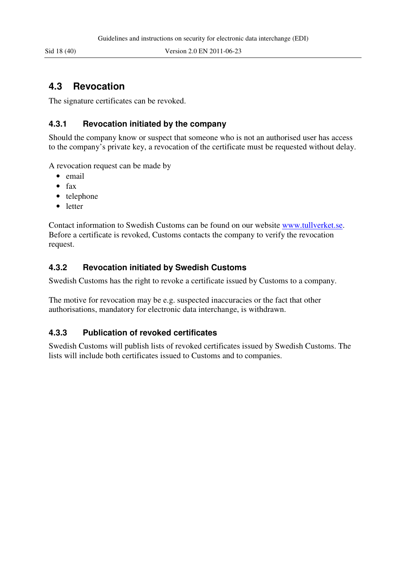### **4.3 Revocation**

The signature certificates can be revoked.

#### **4.3.1 Revocation initiated by the company**

Should the company know or suspect that someone who is not an authorised user has access to the company's private key, a revocation of the certificate must be requested without delay.

A revocation request can be made by

- email
- fax
- telephone
- letter

Contact information to Swedish Customs can be found on our website www.tullverket.se. Before a certificate is revoked, Customs contacts the company to verify the revocation request.

#### **4.3.2 Revocation initiated by Swedish Customs**

Swedish Customs has the right to revoke a certificate issued by Customs to a company.

The motive for revocation may be e.g. suspected inaccuracies or the fact that other authorisations, mandatory for electronic data interchange, is withdrawn.

#### **4.3.3 Publication of revoked certificates**

Swedish Customs will publish lists of revoked certificates issued by Swedish Customs. The lists will include both certificates issued to Customs and to companies.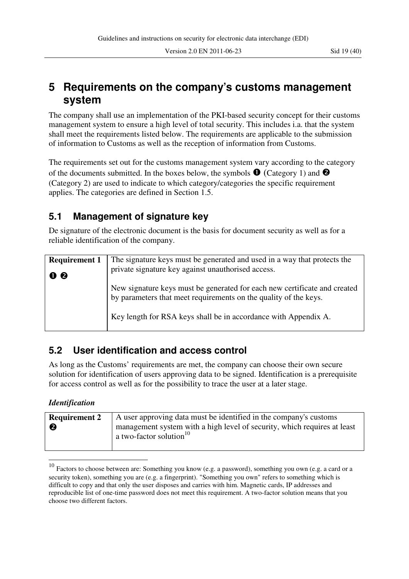Version 2.0 EN 2011-06-23 Sid 19 (40)

## **5 Requirements on the company's customs management system**

The company shall use an implementation of the PKI-based security concept for their customs management system to ensure a high level of total security. This includes i.a. that the system shall meet the requirements listed below. The requirements are applicable to the submission of information to Customs as well as the reception of information from Customs.

The requirements set out for the customs management system vary according to the category of the documents submitted. In the boxes below, the symbols  $\bullet$  (Category 1) and  $\bullet$ (Category 2) are used to indicate to which category/categories the specific requirement applies. The categories are defined in Section 1.5.

## **5.1 Management of signature key**

De signature of the electronic document is the basis for document security as well as for a reliable identification of the company.

| <b>Requirement 1</b>           | The signature keys must be generated and used in a way that protects the                                                                      |
|--------------------------------|-----------------------------------------------------------------------------------------------------------------------------------------------|
| $\mathbf{0}$ $\mathbf{\Theta}$ | private signature key against unauthorised access.                                                                                            |
|                                | New signature keys must be generated for each new certificate and created<br>by parameters that meet requirements on the quality of the keys. |
|                                | Key length for RSA keys shall be in accordance with Appendix A.                                                                               |
|                                |                                                                                                                                               |

## **5.2 User identification and access control**

As long as the Customs' requirements are met, the company can choose their own secure solution for identification of users approving data to be signed. Identification is a prerequisite for access control as well as for the possibility to trace the user at a later stage.

#### *Identification*

 $\overline{a}$ 

| <b>Requirement 2</b> | A user approving data must be identified in the company's customs<br>management system with a high level of security, which requires at least<br>a two-factor solution <sup>10</sup> |
|----------------------|--------------------------------------------------------------------------------------------------------------------------------------------------------------------------------------|
|                      |                                                                                                                                                                                      |

 $10$  Factors to choose between are: Something you know (e.g. a password), something you own (e.g. a card or a security token), something you are (e.g. a fingerprint). "Something you own" refers to something which is difficult to copy and that only the user disposes and carries with him. Magnetic cards, IP addresses and reproducible list of one-time password does not meet this requirement. A two-factor solution means that you choose two different factors.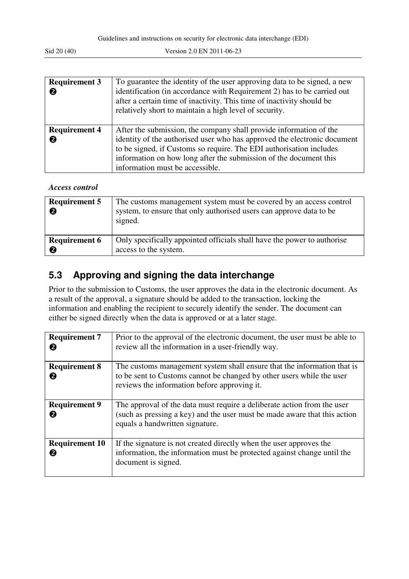| <b>Requirement 3</b><br>❷ | To guarantee the identity of the user approving data to be signed, a new<br>identification (in accordance with Requirement 2) has to be carried out<br>after a certain time of inactivity. This time of inactivity should be<br>relatively short to maintain a high level of security.                                        |
|---------------------------|-------------------------------------------------------------------------------------------------------------------------------------------------------------------------------------------------------------------------------------------------------------------------------------------------------------------------------|
| <b>Requirement 4</b>      | After the submission, the company shall provide information of the<br>identity of the authorised user who has approved the electronic document<br>to be signed, if Customs so require. The EDI authorisation includes<br>information on how long after the submission of the document this<br>information must be accessible. |

#### *Access control*

| <b>Requirement 5</b><br>❷ | The customs management system must be covered by an access control<br>system, to ensure that only authorised users can approve data to be<br>signed. |
|---------------------------|------------------------------------------------------------------------------------------------------------------------------------------------------|
| <b>Requirement 6</b>      | Only specifically appointed officials shall have the power to authorise                                                                              |
| ❷                         | access to the system.                                                                                                                                |

## **5.3 Approving and signing the data interchange**

Prior to the submission to Customs, the user approves the data in the electronic document. As a result of the approval, a signature should be added to the transaction, locking the information and enabling the recipient to securely identify the sender. The document can either be signed directly when the data is approved or at a later stage.

| <b>Requirement 7</b><br>0  | Prior to the approval of the electronic document, the user must be able to<br>review all the information in a user-friendly way.                                                                 |
|----------------------------|--------------------------------------------------------------------------------------------------------------------------------------------------------------------------------------------------|
| <b>Requirement 8</b><br>0  | The customs management system shall ensure that the information that is<br>to be sent to Customs cannot be changed by other users while the user<br>reviews the information before approving it. |
| <b>Requirement 9</b><br>0  | The approval of the data must require a deliberate action from the user<br>(such as pressing a key) and the user must be made aware that this action<br>equals a handwritten signature.          |
| <b>Requirement 10</b><br>0 | If the signature is not created directly when the user approves the<br>information, the information must be protected against change until the<br>document is signed.                            |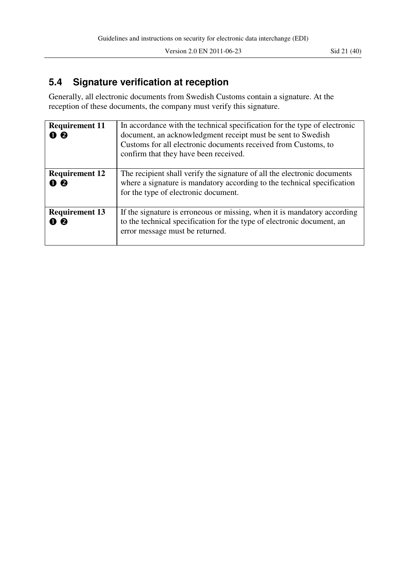Version 2.0 EN 2011-06-23 Sid 21 (40)

## **5.4 Signature verification at reception**

Generally, all electronic documents from Swedish Customs contain a signature. At the reception of these documents, the company must verify this signature.

| <b>Requirement 11</b><br>00  | In accordance with the technical specification for the type of electronic<br>document, an acknowledgment receipt must be sent to Swedish<br>Customs for all electronic documents received from Customs, to<br>confirm that they have been received. |
|------------------------------|-----------------------------------------------------------------------------------------------------------------------------------------------------------------------------------------------------------------------------------------------------|
| <b>Requirement 12</b><br>0 Q | The recipient shall verify the signature of all the electronic documents<br>where a signature is mandatory according to the technical specification<br>for the type of electronic document.                                                         |
| <b>Requirement 13</b><br>00  | If the signature is erroneous or missing, when it is mandatory according<br>to the technical specification for the type of electronic document, an<br>error message must be returned.                                                               |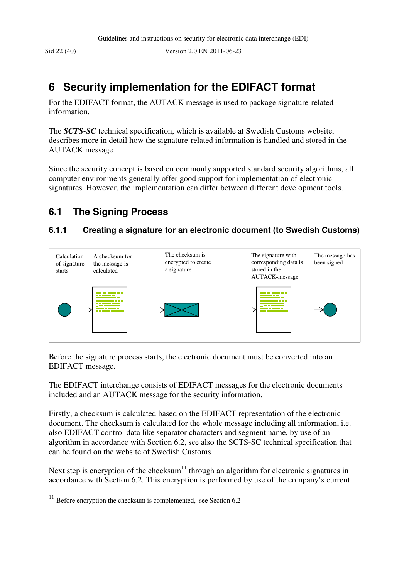## **6 Security implementation for the EDIFACT format**

For the EDIFACT format, the AUTACK message is used to package signature-related information.

The *SCTS-SC* technical specification, which is available at Swedish Customs website, describes more in detail how the signature-related information is handled and stored in the AUTACK message.

Since the security concept is based on commonly supported standard security algorithms, all computer environments generally offer good support for implementation of electronic signatures. However, the implementation can differ between different development tools.

## **6.1 The Signing Process**

#### **6.1.1 Creating a signature for an electronic document (to Swedish Customs)**



Before the signature process starts, the electronic document must be converted into an EDIFACT message.

The EDIFACT interchange consists of EDIFACT messages for the electronic documents included and an AUTACK message for the security information.

Firstly, a checksum is calculated based on the EDIFACT representation of the electronic document. The checksum is calculated for the whole message including all information, i.e. also EDIFACT control data like separator characters and segment name, by use of an algorithm in accordance with Section 6.2, see also the SCTS-SC technical specification that can be found on the website of Swedish Customs.

Next step is encryption of the checksum<sup>11</sup> through an algorithm for electronic signatures in accordance with Section 6.2. This encryption is performed by use of the company's current

 $\overline{a}$ 

 $11$  Before encryption the checksum is complemented, see Section 6.2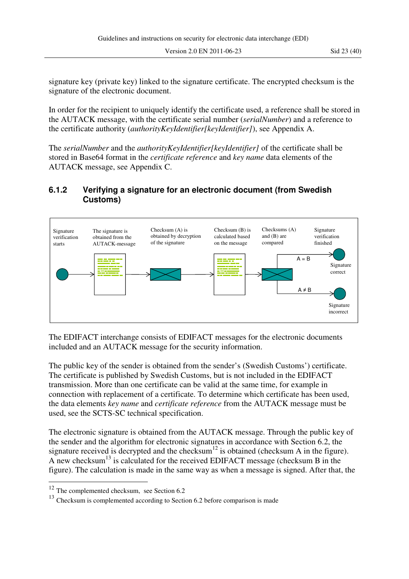signature key (private key) linked to the signature certificate. The encrypted checksum is the signature of the electronic document.

In order for the recipient to uniquely identify the certificate used, a reference shall be stored in the AUTACK message, with the certificate serial number (*serialNumber*) and a reference to the certificate authority (*authorityKeyIdentifier[keyIdentifier]*), see Appendix A.

The *serialNumber* and the *authorityKeyIdentifier[keyIdentifier]* of the certificate shall be stored in Base64 format in the *certificate reference* and *key name* data elements of the AUTACK message, see Appendix C.

#### **6.1.2 Verifying a signature for an electronic document (from Swedish Customs)**



The EDIFACT interchange consists of EDIFACT messages for the electronic documents included and an AUTACK message for the security information.

The public key of the sender is obtained from the sender's (Swedish Customs') certificate. The certificate is published by Swedish Customs, but is not included in the EDIFACT transmission. More than one certificate can be valid at the same time, for example in connection with replacement of a certificate. To determine which certificate has been used, the data elements *key name* and *certificate reference* from the AUTACK message must be used, see the SCTS-SC technical specification.

The electronic signature is obtained from the AUTACK message. Through the public key of the sender and the algorithm for electronic signatures in accordance with Section 6.2, the signature received is decrypted and the checksum $^{12}$  is obtained (checksum A in the figure). A new checksum<sup>13</sup> is calculated for the received EDIFACT message (checksum B in the figure). The calculation is made in the same way as when a message is signed. After that, the

 $\overline{a}$ 

 $12$  The complemented checksum, see Section 6.2

<sup>&</sup>lt;sup>13</sup> Checksum is complemented according to Section 6.2 before comparison is made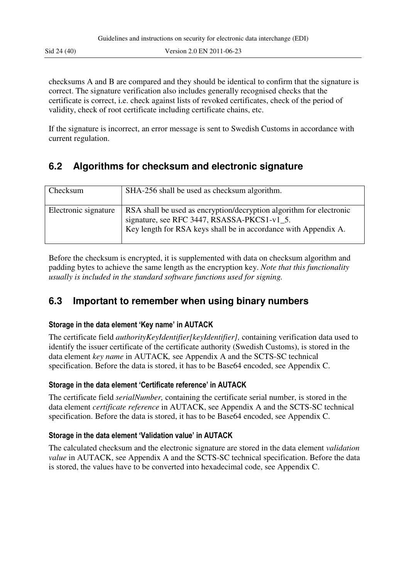checksums A and B are compared and they should be identical to confirm that the signature is correct. The signature verification also includes generally recognised checks that the certificate is correct, i.e. check against lists of revoked certificates, check of the period of validity, check of root certificate including certificate chains, etc.

If the signature is incorrect, an error message is sent to Swedish Customs in accordance with current regulation.

## **6.2 Algorithms for checksum and electronic signature**

| Checksum             | SHA-256 shall be used as checksum algorithm.                                                                                                                                          |
|----------------------|---------------------------------------------------------------------------------------------------------------------------------------------------------------------------------------|
| Electronic signature | RSA shall be used as encryption/decryption algorithm for electronic<br>signature, see RFC 3447, RSASSA-PKCS1-v1_5.<br>Key length for RSA keys shall be in accordance with Appendix A. |

Before the checksum is encrypted, it is supplemented with data on checksum algorithm and padding bytes to achieve the same length as the encryption key. *Note that this functionality usually is included in the standard software functions used for signing.*

### **6.3 Important to remember when using binary numbers**

#### **Storage in the data element 'Key name' in AUTACK**

The certificate field *authorityKeyIdentifier[keyIdentifier],* containing verification data used to identify the issuer certificate of the certificate authority (Swedish Customs), is stored in the data element *key name* in AUTACK*,* see Appendix A and the SCTS-SC technical specification. Before the data is stored, it has to be Base64 encoded, see Appendix C.

#### **Storage in the data element 'Certificate reference' in AUTACK**

The certificate field *serialNumber,* containing the certificate serial number, is stored in the data element *certificate reference* in AUTACK, see Appendix A and the SCTS-SC technical specification. Before the data is stored, it has to be Base64 encoded, see Appendix C.

#### **Storage in the data element 'Validation value' in AUTACK**

The calculated checksum and the electronic signature are stored in the data element *validation value* in AUTACK, see Appendix A and the SCTS-SC technical specification. Before the data is stored, the values have to be converted into hexadecimal code, see Appendix C.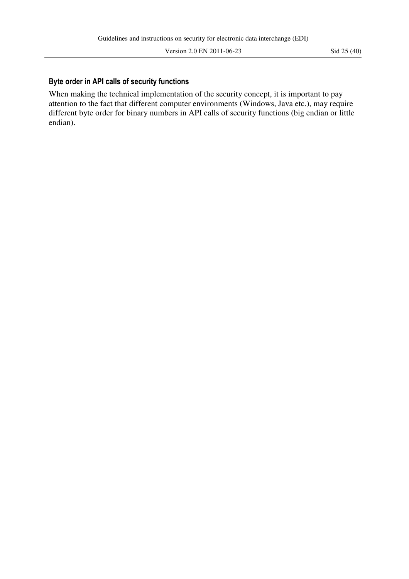#### **Byte order in API calls of security functions**

When making the technical implementation of the security concept, it is important to pay attention to the fact that different computer environments (Windows, Java etc.), may require different byte order for binary numbers in API calls of security functions (big endian or little endian).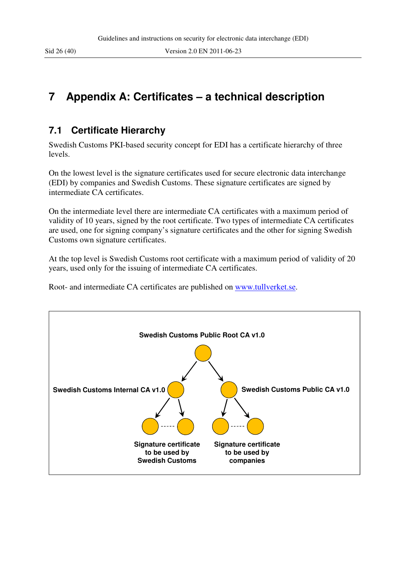## **7 Appendix A: Certificates – a technical description**

#### **7.1 Certificate Hierarchy**

Swedish Customs PKI-based security concept for EDI has a certificate hierarchy of three levels.

On the lowest level is the signature certificates used for secure electronic data interchange (EDI) by companies and Swedish Customs. These signature certificates are signed by intermediate CA certificates.

On the intermediate level there are intermediate CA certificates with a maximum period of validity of 10 years, signed by the root certificate. Two types of intermediate CA certificates are used, one for signing company's signature certificates and the other for signing Swedish Customs own signature certificates.

At the top level is Swedish Customs root certificate with a maximum period of validity of 20 years, used only for the issuing of intermediate CA certificates.

Root- and intermediate CA certificates are published on www.tullverket.se.

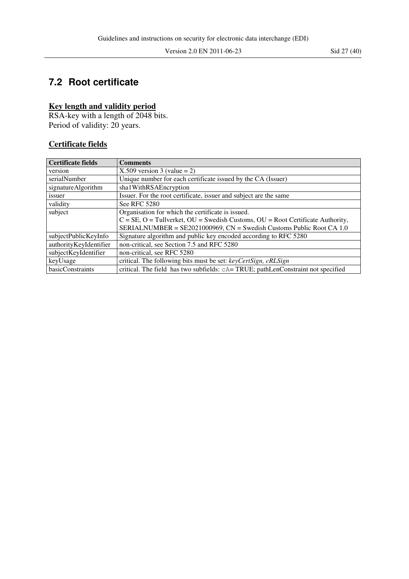## **7.2 Root certificate**

#### **Key length and validity period**

RSA-key with a length of 2048 bits. Period of validity: 20 years.

#### **Certificate fields**

| Certificate fields     | <b>Comments</b>                                                                            |
|------------------------|--------------------------------------------------------------------------------------------|
| version                | $X.509$ version 3 (value = 2)                                                              |
| serialNumber           | Unique number for each certificate issued by the CA (Issuer)                               |
| signatureAlgorithm     | sha1WithRSAEncryption                                                                      |
| issuer                 | Issuer. For the root certificate, issuer and subject are the same                          |
| validity               | See RFC 5280                                                                               |
| subject                | Organisation for which the certificate is issued.                                          |
|                        | $C = SE$ , $O = Tullverket$ , $OU = Swedish Customs$ , $OU = Root Certificate Authority$ , |
|                        | SERIALNUMBER = SE2021000969, CN = Swedish Customs Public Root CA 1.0                       |
| subjectPublicKeyInfo   | Signature algorithm and public key encoded according to RFC 5280                           |
| authorityKeyIdentifier | non-critical, see Section 7.5 and RFC 5280                                                 |
| subjectKeyIdentifier   | non-critical, see RFC 5280                                                                 |
| keyUsage               | critical. The following bits must be set: keyCertSign, cRLSign                             |
| basicConstraints       | critical. The field has two subfields: cA=TRUE; pathLenConstraint not specified            |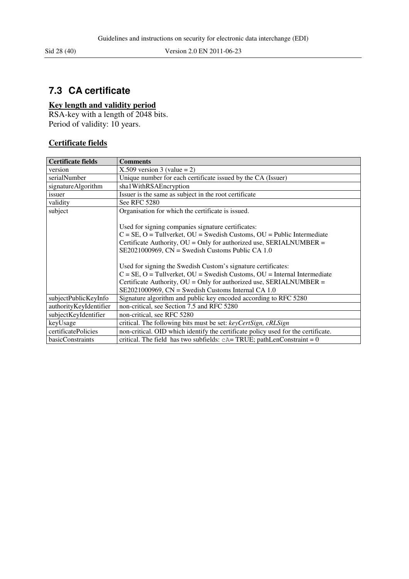## **7.3 CA certificate**

#### **Key length and validity period**

RSA-key with a length of 2048 bits. Period of validity: 10 years.

#### **Certificate fields**

| <b>Certificate fields</b> | <b>Comments</b>                                                                     |  |  |  |  |  |  |
|---------------------------|-------------------------------------------------------------------------------------|--|--|--|--|--|--|
| version                   | $X.509$ version 3 (value = 2)                                                       |  |  |  |  |  |  |
| serialNumber              | Unique number for each certificate issued by the CA (Issuer)                        |  |  |  |  |  |  |
| signatureAlgorithm        | sha1WithRSAEncryption                                                               |  |  |  |  |  |  |
| issuer                    | Issuer is the same as subject in the root certificate                               |  |  |  |  |  |  |
| validity                  | See RFC 5280                                                                        |  |  |  |  |  |  |
| subject                   | Organisation for which the certificate is issued.                                   |  |  |  |  |  |  |
|                           |                                                                                     |  |  |  |  |  |  |
|                           | Used for signing companies signature certificates:                                  |  |  |  |  |  |  |
|                           | $C = SE$ , $O = Tullverket$ , $OU = Swedish Customs$ , $OU = Public Intermediate$   |  |  |  |  |  |  |
|                           | Certificate Authority, OU = Only for authorized use, SERIALNUMBER =                 |  |  |  |  |  |  |
|                           | $SE2021000969$ , $CN = Swedish Customs Public CA 1.0$                               |  |  |  |  |  |  |
|                           |                                                                                     |  |  |  |  |  |  |
|                           | Used for signing the Swedish Custom's signature certificates:                       |  |  |  |  |  |  |
|                           | $C = SE$ , $O = Tullverket$ , $OU = Swedish Customs$ , $OU = Internal Intermediate$ |  |  |  |  |  |  |
|                           | Certificate Authority, OU = Only for authorized use, SERIALNUMBER =                 |  |  |  |  |  |  |
|                           | $SE2021000969$ , $CN = Swedish Customs Internal CA 1.0$                             |  |  |  |  |  |  |
| subjectPublicKeyInfo      | Signature algorithm and public key encoded according to RFC 5280                    |  |  |  |  |  |  |
| authorityKeyIdentifier    | non-critical, see Section 7.5 and RFC 5280                                          |  |  |  |  |  |  |
| subjectKeyIdentifier      | non-critical, see RFC 5280                                                          |  |  |  |  |  |  |
| keyUsage                  | critical. The following bits must be set: keyCertSign, cRLSign                      |  |  |  |  |  |  |
| certificatePolicies       | non-critical. OID which identify the certificate policy used for the certificate.   |  |  |  |  |  |  |
| basicConstraints          | critical. The field has two subfields: $cA = TRUE$ ; pathLenConstraint = 0          |  |  |  |  |  |  |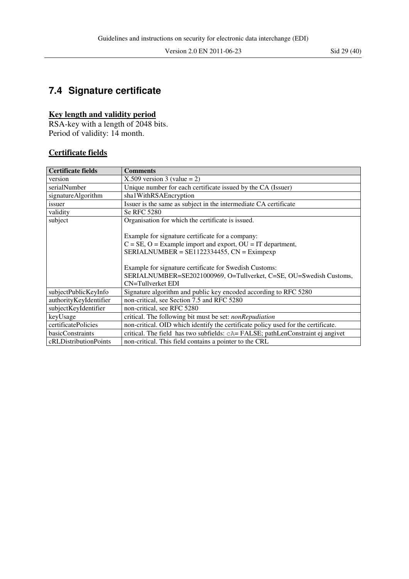## **7.4 Signature certificate**

#### **Key length and validity period**

RSA-key with a length of 2048 bits. Period of validity: 14 month.

#### **Certificate fields**

| <b>Certificate fields</b> | <b>Comments</b>                                                                   |
|---------------------------|-----------------------------------------------------------------------------------|
| version                   | $X.509$ version 3 (value = 2)                                                     |
| serialNumber              | Unique number for each certificate issued by the CA (Issuer)                      |
| signatureAlgorithm        | sha1WithRSAEncryption                                                             |
| issuer                    | Issuer is the same as subject in the intermediate CA certificate                  |
| validity                  | Se RFC 5280                                                                       |
| subject                   | Organisation for which the certificate is issued.                                 |
|                           |                                                                                   |
|                           | Example for signature certificate for a company:                                  |
|                           | $C = SE$ , $O = Example$ import and export, $OU = IT$ department,                 |
|                           | $SERIALNUMBER = SE1122334455$ , $CN = Eximpexp$                                   |
|                           |                                                                                   |
|                           | Example for signature certificate for Swedish Customs:                            |
|                           | SERIALNUMBER=SE2021000969, O=Tullverket, C=SE, OU=Swedish Customs,                |
|                           | CN=Tullverket EDI                                                                 |
| subjectPublicKeyInfo      | Signature algorithm and public key encoded according to RFC 5280                  |
| authorityKeyIdentifier    | non-critical, see Section 7.5 and RFC 5280                                        |
| subjectKeyIdentifier      | non-critical, see RFC 5280                                                        |
| keyUsage                  | critical. The following bit must be set: <i>nonRepudiation</i>                    |
| certificatePolicies       | non-critical. OID which identify the certificate policy used for the certificate. |
| basicConstraints          | critical. The field has two subfields: cA=FALSE; pathLenConstraint ej angivet     |
| cRLDistributionPoints     | non-critical. This field contains a pointer to the CRL                            |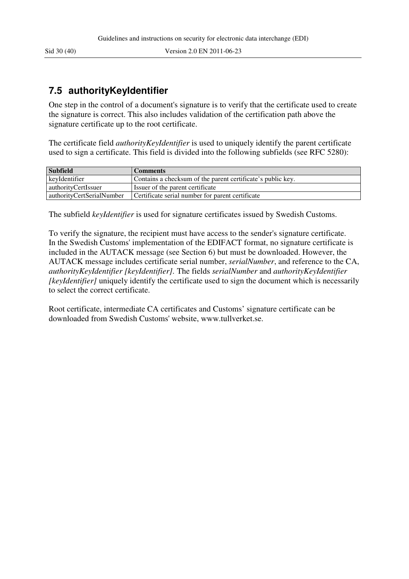## **7.5 authorityKeyIdentifier**

One step in the control of a document's signature is to verify that the certificate used to create the signature is correct. This also includes validation of the certification path above the signature certificate up to the root certificate.

The certificate field *authorityKeyIdentifier* is used to uniquely identify the parent certificate used to sign a certificate. This field is divided into the following subfields (see RFC 5280):

| <b>Subfield</b>           | <b>Comments</b>                                             |
|---------------------------|-------------------------------------------------------------|
| keyIdentifier             | Contains a checksum of the parent certificate's public key. |
| authorityCertIssuer       | Issuer of the parent certificate                            |
| authorityCertSerialNumber | Certificate serial number for parent certificate            |

The subfield *keyIdentifier* is used for signature certificates issued by Swedish Customs.

To verify the signature, the recipient must have access to the sender's signature certificate. In the Swedish Customs' implementation of the EDIFACT format, no signature certificate is included in the AUTACK message (see Section 6) but must be downloaded. However, the AUTACK message includes certificate serial number, *serialNumber*, and reference to the CA, *authorityKeyIdentifier [keyIdentifier].* The fields *serialNumber* and *authorityKeyIdentifier [keyIdentifier]* uniquely identify the certificate used to sign the document which is necessarily to select the correct certificate.

Root certificate, intermediate CA certificates and Customs' signature certificate can be downloaded from Swedish Customs' website, www.tullverket.se.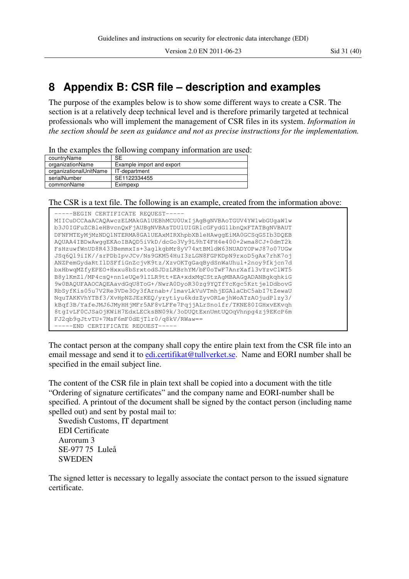## **8 Appendix B: CSR file – description and examples**

The purpose of the examples below is to show some different ways to create a CSR. The section is at a relatively deep technical level and is therefore primarily targeted at technical professionals who will implement the management of CSR files in its system. *Information in the section should be seen as guidance and not as precise instructions for the implementation.* 

In the examples the following company information are used:

| countryName            | SE                        |
|------------------------|---------------------------|
| organizationName       | Example import and export |
| organizationalUnitName | IT-department             |
| serialNumber           | SE1122334455              |
| commonName             | Eximpexp                  |

The CSR is a text file. The following is an example, created from the information above:



The contact person at the company shall copy the entire plain text from the CSR file into an email message and send it to edi.certifikat@tullverket.se. Name and EORI number shall be specified in the email subject line.

The content of the CSR file in plain text shall be copied into a document with the title "Ordering of signature certificates" and the company name and EORI-number shall be specified. A printout of the document shall be signed by the contact person (including name spelled out) and sent by postal mail to:

Swedish Customs, IT department EDI Certificate Aurorum 3 SE-977 75 Luleå SWEDEN

The signed letter is necessary to legally associate the contact person to the issued signature certificate.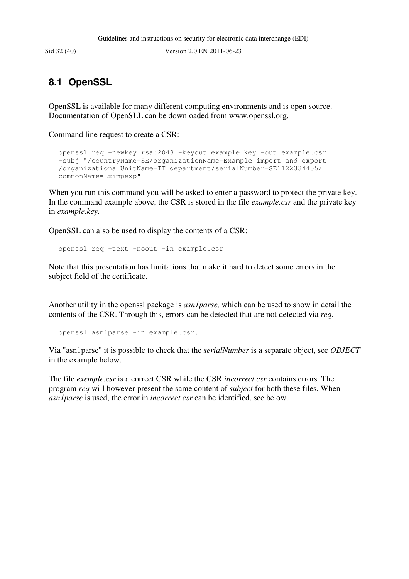#### **8.1 OpenSSL**

OpenSSL is available for many different computing environments and is open source. Documentation of OpenSLL can be downloaded from www.openssl.org.

Command line request to create a CSR:

```
openssl req -newkey rsa:2048 -keyout example.key -out example.csr 
-subj "/countryName=SE/organizationName=Example import and export 
/organizationalUnitName=IT department/serialNumber=SE1122334455/ 
commonName=Eximpexp"
```
When you run this command you will be asked to enter a password to protect the private key. In the command example above, the CSR is stored in the file *example.csr* and the private key in *example.key*.

OpenSSL can also be used to display the contents of a CSR:

```
openssl req -text -noout -in example.csr
```
Note that this presentation has limitations that make it hard to detect some errors in the subject field of the certificate.

Another utility in the openssl package is *asn1parse,* which can be used to show in detail the contents of the CSR. Through this, errors can be detected that are not detected via *req*.

openssl asn1parse -in example.csr.

Via "asn1parse" it is possible to check that the *serialNumber* is a separate object, see *OBJECT* in the example below.

The file *exemple.csr* is a correct CSR while the CSR *incorrect.csr* contains errors. The program *req* will however present the same content of *subject* for both these files. When *asn1parse* is used, the error in *incorrect.csr* can be identified, see below.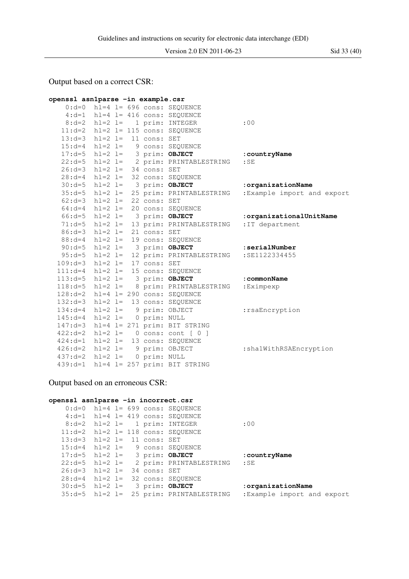Output based on a correct CSR:

```
openssl asn1parse -in example.csr 
   0: d=0 hl=4 l= 696 cons: SEQUENCE
    4:d=1 hl=4 l= 416 cons: SEQUENCE 
   8:d=2 hl=2 l= 1 prim: INTEGER :00
   11:d=2 hl=2 l= 115 cons: SEQUENCE 
  13: d=3 hl=2 l= 11 cons: SET<br>15: d=4 hl=2 l= 9 cons: SEQ
                  9 cons: SEQUENCE
 17:d=5 hl=2 l= 3 prim: OBJECT :countryName 
 22:d=5 hl=2 l= 2 prim: PRINTABLESTRING :SE 
   26:d=3 hl=2 l= 34 cons: SET 
  28: d=4 hl=2 l= 32 cons: SEQUENCE<br>30:d=5 hl=2 l= 3 prim: OBJECT
 30:d=5 hl=2 l= 3 prim: OBJECT :organizationName 
 35:d=5 hl=2 l= 25 prim: PRINTABLESTRING :Example import and export 
 62:d=3 hl=2 l= 22 cons: SET 
 64:d=4 hl=2 l= 20 cons: SEQUENCE 
 66:d=5 hl=2 l= 3 prim: OBJECT :organizationalUnitName 
 71:d=5 hl=2 l= 13 prim: PRINTABLESTRING :IT department 
 86:d=3 hl=2 l= 21 cons: SET 
 88:d=4 hl=2 l= 19 cons: SEQUENCE 
90:d=5 hl=2 l= 3 prim: OBJECT :serialNumber
 95:d=5 hl=2 l= 12 prim: PRINTABLESTRING :SE1122334455 
 109:d=3 hl=2 l= 17 cons: SET 
 111:d=4 hl=2 l= 15 cons: SEQUENCE 
 113:d=5 hl=2 l= 3 prim: OBJECT :commonName
  118:d=5 hl=2 l= 8 prim: PRINTABLESTRING :Eximpexp 
  128:d=2 hl=4 l= 290 cons: SEQUENCE 
  132:d=3 hl=2 l= 13 cons: SEQUENCE 
 134:d=4 hl=2 l= 9 prim: OBJECT :rsaEncryption
  145:d=4 hl=2 l= 0 prim: NULL 
  147:d=3 hl=4 l= 271 prim: BIT STRING 
  422:d=2 hl=2 l= 0 cons: cont [ 0 ] 
  424:d=1 hl=2 l= 13 cons: SEQUENCE 
  426:d=2 hl=2 l= 9 prim: OBJECT :sha1WithRSAEncryption 
  437:d=2 hl=2 l= 0 prim: NULL 
  439:d=1 hl=4 l= 257 prim: BIT STRING
```
#### Output based on an erroneous CSR:

#### **openssl asn1parse -in incorrect.csr**

|                                  |  |  | $0: d=0$ hl=4 l= 699 cons: SEQUENCE        |                    |
|----------------------------------|--|--|--------------------------------------------|--------------------|
|                                  |  |  | $4: d=1$ hl=4 l= 419 cons: SEOUENCE        |                    |
|                                  |  |  | $8: d=2$ hl=2 l= 1 prim: INTEGER           | $\cdot$ 00         |
|                                  |  |  | $11: d=2$ hl=2 l= 118 cons: SEQUENCE       |                    |
| $13: d=3$ hl=2 l= 11 cons: SET   |  |  |                                            |                    |
|                                  |  |  | $15: d=4$ hl=2 l= 9 cons: SEOUENCE         |                    |
| $17: d=5$ hl=2 l= 3 prim: OBJECT |  |  |                                            | : countryName      |
|                                  |  |  | 22:d=5 hl=2 l= 2 prim: PRINTABLESTRING :SE |                    |
| $26: d=3$ hl=2 l= 34 cons: SET   |  |  |                                            |                    |
|                                  |  |  | $28: d=4$ hl=2 l= 32 cons: SEOUENCE        |                    |
| $30: d=5$ hl=2 l= 3 prim: OBJECT |  |  |                                            | :organizationName  |
|                                  |  |  | 35:d=5 hl=2 l= 25 prim: PRINTABLESTRING    | :Example import an |

port and export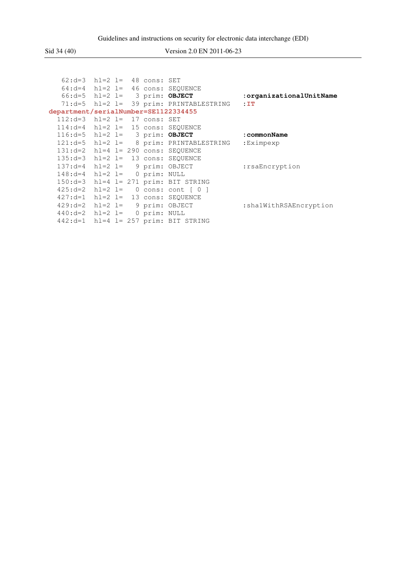## Sid 34 (40) Version 2.0 EN 2011-06-23

|                                      | $62: d=3$ hl=2 l= 48 cons: SET    |  |                                            |                         |
|--------------------------------------|-----------------------------------|--|--------------------------------------------|-------------------------|
|                                      |                                   |  | $64: d=4$ hl=2 l= 46 cons: SEOUENCE        |                         |
|                                      | $66: d=5$ hl=2 l= 3 prim: OBJECT  |  |                                            | :organizationalUnitName |
|                                      |                                   |  | $71: d=5$ hl=2 l= 39 prim: PRINTABLESTRING | $\pm T$                 |
| department/serialNumber=SE1122334455 |                                   |  |                                            |                         |
|                                      | $112: d=3$ hl=2 l= 17 cons: SET   |  |                                            |                         |
|                                      |                                   |  | $114: d=4$ hl=2 l= 15 cons: SEOUENCE       |                         |
|                                      | $116: d=5$ hl=2 l= 3 prim: OBJECT |  |                                            | : commonName            |
|                                      |                                   |  | $121: d=5$ hl=2 l= 8 prim: PRINTABLESTRING | :Eximpexp               |
|                                      |                                   |  | $131: d=2$ hl=4 l= 290 cons: SEOUENCE      |                         |
|                                      |                                   |  | $135: d=3$ hl=2 l= 13 cons: SEQUENCE       |                         |
|                                      | $137: d=4$ hl=2 l= 9 prim: OBJECT |  |                                            | : rsaEncryption         |
|                                      | $148: d=4$ hl=2 l= 0 prim: NULL   |  |                                            |                         |
|                                      |                                   |  | $150: d=3$ hl=4 l= 271 prim: BIT STRING    |                         |
|                                      |                                   |  | $425: d=2$ hl=2 l= 0 cons: cont [0 ]       |                         |
|                                      |                                   |  | $427: d=1$ hl=2 l= 13 cons: SEQUENCE       |                         |
|                                      | $429: d=2$ hl=2 l= 9 prim: OBJECT |  |                                            | :sha1WithRSAEncryption  |
|                                      | $440: d=2$ hl=2 l= 0 prim: NULL   |  |                                            |                         |
|                                      |                                   |  | $442: d=1$ hl=4 l= 257 prim: BIT STRING    |                         |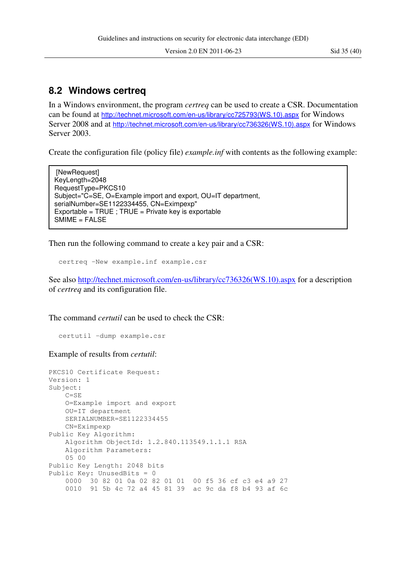#### **8.2 Windows certreq**

In a Windows environment, the program *certreq* can be used to create a CSR. Documentation can be found at http://technet.microsoft.com/en-us/library/cc725793(WS.10).aspx for Windows Server 2008 and at http://technet.microsoft.com/en-us/library/cc736326(WS.10).aspx for Windows Server 2003.

Create the configuration file (policy file) *example.inf* with contents as the following example:

[NewRequest] KeyLength=2048 RequestType=PKCS10 Subject="C=SE, O=Example import and export, OU=IT department, serialNumber=SE1122334455, CN=Eximpexp" Exportable = TRUE ; TRUE = Private key is exportable SMIME = FALSE

Then run the following command to create a key pair and a CSR:

```
certreq -New example.inf example.csr
```
See also http://technet.microsoft.com/en-us/library/cc736326(WS.10).aspx for a description of *certreq* and its configuration file.

The command *certutil* can be used to check the CSR:

certutil -dump example.csr

Example of results from *certutil*:

```
PKCS10 Certificate Request: 
Version: 1 
Subject: 
     C=SE 
     O=Example import and export 
     OU=IT department 
     SERIALNUMBER=SE1122334455 
     CN=Eximpexp 
Public Key Algorithm: 
     Algorithm ObjectId: 1.2.840.113549.1.1.1 RSA 
     Algorithm Parameters: 
     05 00 
Public Key Length: 2048 bits 
Public Key: UnusedBits = 0 
     0000 30 82 01 0a 02 82 01 01 00 f5 36 cf c3 e4 a9 27 
     0010 91 5b 4c 72 a4 45 81 39 ac 9c da f8 b4 93 af 6c
```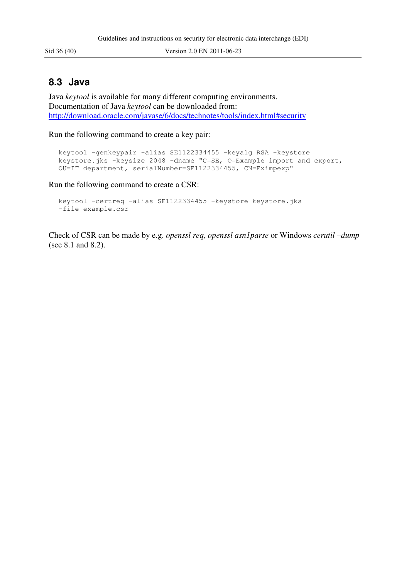#### **8.3 Java**

Java *keytool* is available for many different computing environments. Documentation of Java *keytool* can be downloaded from: http://download.oracle.com/javase/6/docs/technotes/tools/index.html#security

Run the following command to create a key pair:

```
keytool -genkeypair -alias SE1122334455 -keyalg RSA -keystore 
keystore.jks -keysize 2048 -dname "C=SE, O=Example import and export, 
OU=IT department, serialNumber=SE1122334455, CN=Eximpexp"
```
Run the following command to create a CSR:

```
keytool -certreq -alias SE1122334455 -keystore keystore.jks 
-file example.csr
```
Check of CSR can be made by e.g. *openssl req*, *openssl asn1parse* or Windows *cerutil –dump* (see 8.1 and 8.2).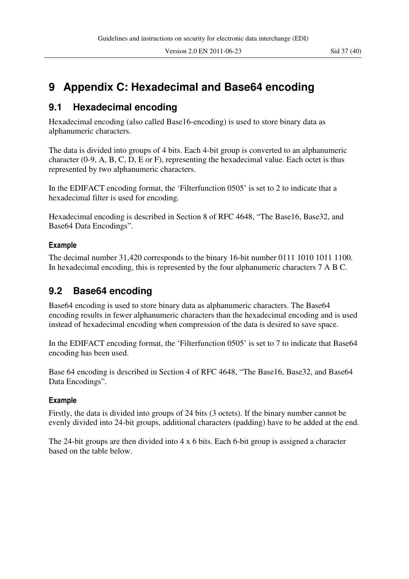## **9 Appendix C: Hexadecimal and Base64 encoding**

### **9.1 Hexadecimal encoding**

Hexadecimal encoding (also called Base16-encoding) is used to store binary data as alphanumeric characters.

The data is divided into groups of 4 bits. Each 4-bit group is converted to an alphanumeric character (0-9, A, B, C, D, E or F), representing the hexadecimal value. Each octet is thus represented by two alphanumeric characters.

In the EDIFACT encoding format, the 'Filterfunction 0505' is set to 2 to indicate that a hexadecimal filter is used for encoding.

Hexadecimal encoding is described in Section 8 of RFC 4648, "The Base16, Base32, and Base64 Data Encodings".

#### **Example**

The decimal number 31,420 corresponds to the binary 16-bit number 0111 1010 1011 1100. In hexadecimal encoding, this is represented by the four alphanumeric characters 7 A B C.

### **9.2 Base64 encoding**

Base64 encoding is used to store binary data as alphanumeric characters. The Base64 encoding results in fewer alphanumeric characters than the hexadecimal encoding and is used instead of hexadecimal encoding when compression of the data is desired to save space.

In the EDIFACT encoding format, the 'Filterfunction 0505' is set to 7 to indicate that Base64 encoding has been used.

Base 64 encoding is described in Section 4 of RFC 4648, "The Base16, Base32, and Base64 Data Encodings".

#### **Example**

Firstly, the data is divided into groups of 24 bits (3 octets). If the binary number cannot be evenly divided into 24-bit groups, additional characters (padding) have to be added at the end.

The 24-bit groups are then divided into 4 x 6 bits. Each 6-bit group is assigned a character based on the table below.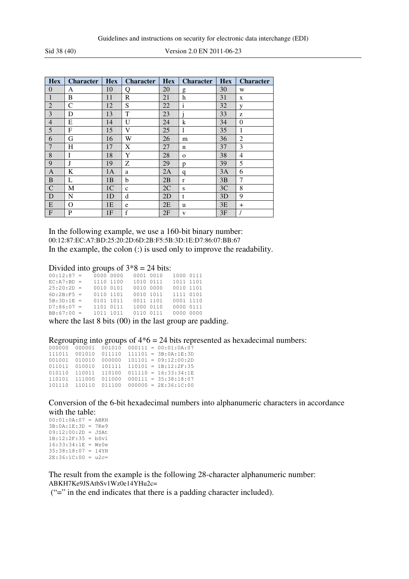Sid 38 (40) Version 2.0 EN 2011-06-23

| <b>Hex</b>     | <b>Character</b> | <b>Hex</b>     | <b>Character</b> | <b>Hex</b> | <b>Character</b> | <b>Hex</b> | <b>Character</b> |
|----------------|------------------|----------------|------------------|------------|------------------|------------|------------------|
| $\overline{0}$ | А                | 10             | О                | 20         | g                | 30         | W                |
| $\mathbf{1}$   | B                | 11             | R                | 21         | h                | 31         | X                |
| $\overline{2}$ | C                | 12             | S                | 22         | $\mathbf{i}$     | 32         | V                |
| 3              | D                | 13             | T                | 23         |                  | 33         | z                |
| $\overline{4}$ | E                | 14             | $\mathbf{U}$     | 24         | k                | 34         | $\overline{0}$   |
| 5              | F                | 15             | V                | 25         | 1                | 35         | 1                |
| 6              | G                | 16             | W                | 26         | m                | 36         | $\overline{2}$   |
| $\overline{7}$ | H                | 17             | X                | 27         | n                | 37         | 3                |
| 8              | I                | 18             | Y                | 28         | $\mathbf{O}$     | 38         | 4                |
| 9              | J                | 19             | Ζ                | 29         | p                | 39         | 5                |
| A              | K                | 1A             | a                | 2A         | q                | 3A         | 6                |
| B              | L                | 1B             | b                | 2B         | $\mathbf{r}$     | 3B         | 7                |
| $\mathbf C$    | M                | 1 <sub>C</sub> | $\mathbf{C}$     | 2C         | S                | 3C         | 8                |
| D              | N                | 1 <sub>D</sub> | d                | 2D         | t                | 3D         | 9                |
| E              | O                | 1E             | e                | 2E         | u                | 3E         | $\overline{+}$   |
| $\mathbf{F}$   | P                | 1F             | $\mathbf f$      | 2F         | V                | 3F         |                  |

In the following example, we use a 160-bit binary number: 00:12:87:EC:A7:BD:25:20:2D:6D:2B:F5:5B:3D:1E:D7:86:07:BB:67 In the example, the colon (:) is used only to improve the readability.

#### Divided into groups of  $3*8 = 24$  bits:

| $00:12:87 =$   | 0000 0000 | 0001 0010 | 1000 0111 |  |
|----------------|-----------|-----------|-----------|--|
| $EC: A7: BD =$ | 1110 1100 | 1010 0111 | 1011 1101 |  |
| $25:20:2D =$   | 0010 0101 | 0010 0000 | 0010 1101 |  |
| $6D:2B:F5 =$   | 0110 1101 | 0010 1011 | 1111 0101 |  |
| $5B:3D:1E =$   | 0101 1011 | 0011 1101 | 0001 1110 |  |
| $D7:86:07 =$   | 1101 0111 | 1000 0110 | 0000 0111 |  |
| $BB:67:00 =$   | 1011 1011 | 0110 0111 | 0000 0000 |  |
|                |           |           |           |  |

where the last 8 bits (00) in the last group are padding.

Regrouping into groups of  $4*6 = 24$  bits represented as hexadecimal numbers:

| 000000 | 000001 | 001010 |  | $000111 = 00:01:0A:07$ |  |
|--------|--------|--------|--|------------------------|--|
| 111011 | 001010 | 011110 |  | $111101 = 3B:0A:1E:3D$ |  |
| 001001 | 010010 | 000000 |  | $101101 = 09:12:00:2D$ |  |
| 011011 | 010010 | 101111 |  | $110101 = 1B:12:2F:35$ |  |
| 010110 | 110011 | 110100 |  | $011110 = 16:33:34:1E$ |  |
| 110101 | 111000 | 011000 |  | $000111 = 35:38:18:07$ |  |
| 101110 | 110110 | 011100 |  | $000000 = 2E:36:1C:00$ |  |
|        |        |        |  |                        |  |

Conversion of the 6-bit hexadecimal numbers into alphanumeric characters in accordance with the table:

| $00:01:0A:07 = ABKH$  |  |  |
|-----------------------|--|--|
| $3B:0A:1E:3D = 7Ke9$  |  |  |
| $09:12:00:2D = JSAt$  |  |  |
| $1B:12:2F:35 = bSv1$  |  |  |
| $16:33:34:1E = Wz0e$  |  |  |
| $35:38:18:07 = 14YH$  |  |  |
| $2E:36:1C:00 = u2c =$ |  |  |
|                       |  |  |

The result from the example is the following 28-character alphanumeric number: ABKH7Ke9JSAtbSv1Wz0e14YHu2c=

("=" in the end indicates that there is a padding character included).